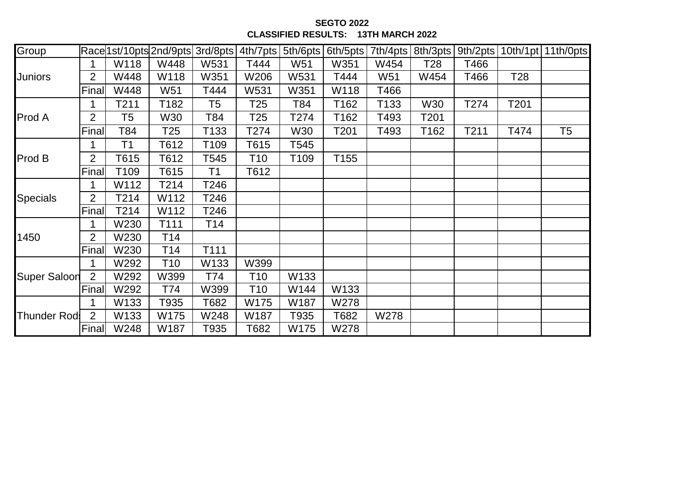**SEGTO 2022 CLASSIFIED RESULTS: 13TH MARCH 2022**

| Group               |                |                | Race 1st/10pts 2nd/9pts 3rd/8pts   4th/7pts |      |                 | 5th/6pts        | 6th/5pts | 7th/4pts        | 8th/3pts         | 9th/2pts |      | $\vert$ 10th/1pt $\vert$ 11th/0pts |
|---------------------|----------------|----------------|---------------------------------------------|------|-----------------|-----------------|----------|-----------------|------------------|----------|------|------------------------------------|
| <b>Juniors</b>      |                | W118           | W448                                        | W531 | T444            | W <sub>51</sub> | W351     | W454            | T <sub>28</sub>  | T466     |      |                                    |
|                     | $\overline{2}$ | W448           | W118                                        | W351 | W206            | W531            | T444     | W <sub>51</sub> | W454             | T466     | T28  |                                    |
|                     | Final          | W448           | W51                                         | T444 | W531            | W351            | W118     | T466            |                  |          |      |                                    |
| Prod A              |                | T211           | T182                                        | T5   | T <sub>25</sub> | T84             | T162     | T133            | W30              | T274     | T201 |                                    |
|                     | $\overline{2}$ | T <sub>5</sub> | W30                                         | T84  | T <sub>25</sub> | T274            | T162     | T493            | T <sub>201</sub> |          |      |                                    |
|                     | Final          | T84            | T25                                         | T133 | T274            | W30             | T201     | T493            | T162             | T211     | T474 | T <sub>5</sub>                     |
| Prod B              | 1              | T <sub>1</sub> | T612                                        | T109 | T615            | T545            |          |                 |                  |          |      |                                    |
|                     | $\overline{2}$ | T615           | T612                                        | T545 | T10             | T109            | T155     |                 |                  |          |      |                                    |
|                     | Final          | T109           | T615                                        | Τ1   | T612            |                 |          |                 |                  |          |      |                                    |
| <b>Specials</b>     |                | W112           | T214                                        | T246 |                 |                 |          |                 |                  |          |      |                                    |
|                     | $\overline{2}$ | T214           | W112                                        | T246 |                 |                 |          |                 |                  |          |      |                                    |
|                     | Final          | T214           | W112                                        | T246 |                 |                 |          |                 |                  |          |      |                                    |
| 1450                |                | W230           | T111                                        | T14  |                 |                 |          |                 |                  |          |      |                                    |
|                     | $\overline{2}$ | W230           | T14                                         |      |                 |                 |          |                 |                  |          |      |                                    |
|                     | Final          | W230           | T <sub>14</sub>                             | T111 |                 |                 |          |                 |                  |          |      |                                    |
| <b>Super Saloon</b> |                | W292           | T <sub>10</sub>                             | W133 | W399            |                 |          |                 |                  |          |      |                                    |
|                     | $\overline{2}$ | W292           | W399                                        | T74  | T10             | W133            |          |                 |                  |          |      |                                    |
|                     | Final          | W292           | T74                                         | W399 | T <sub>10</sub> | W144            | W133     |                 |                  |          |      |                                    |
| <b>Thunder Rod</b>  | 1              | W133           | T935                                        | T682 | W175            | W187            | W278     |                 |                  |          |      |                                    |
|                     | $\overline{2}$ | W133           | W175                                        | W248 | W187            | T935            | T682     | W278            |                  |          |      |                                    |
|                     | Final          | W248           | W187                                        | T935 | T682            | W175            | W278     |                 |                  |          |      |                                    |